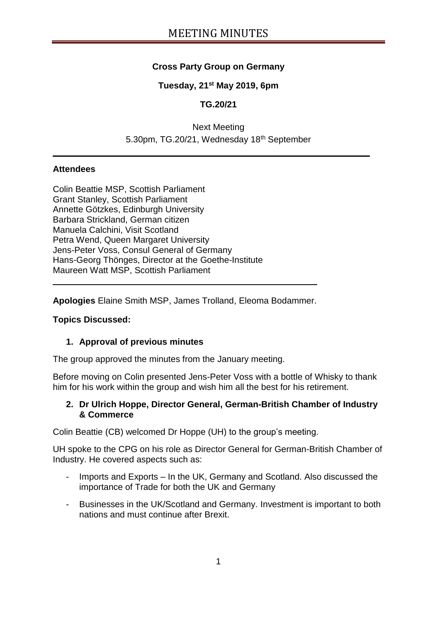## **Cross Party Group on Germany**

### **Tuesday, 21st May 2019, 6pm**

## **TG.20/21**

## Next Meeting 5.30pm, TG.20/21, Wednesday 18<sup>th</sup> September

#### **Attendees**

Colin Beattie MSP, Scottish Parliament Grant Stanley, Scottish Parliament Annette Götzkes, Edinburgh University Barbara Strickland, German citizen Manuela Calchini, Visit Scotland Petra Wend, Queen Margaret University Jens-Peter Voss, Consul General of Germany Hans-Georg Thönges, Director at the Goethe-Institute Maureen Watt MSP, Scottish Parliament

**Apologies** Elaine Smith MSP, James Trolland, Eleoma Bodammer.

#### **Topics Discussed:**

#### **1. Approval of previous minutes**

The group approved the minutes from the January meeting.

Before moving on Colin presented Jens-Peter Voss with a bottle of Whisky to thank him for his work within the group and wish him all the best for his retirement.

#### **2. Dr Ulrich Hoppe, Director General, German-British Chamber of Industry & Commerce**

Colin Beattie (CB) welcomed Dr Hoppe (UH) to the group's meeting.

UH spoke to the CPG on his role as Director General for German-British Chamber of Industry. He covered aspects such as:

- Imports and Exports In the UK, Germany and Scotland. Also discussed the importance of Trade for both the UK and Germany
- Businesses in the UK/Scotland and Germany. Investment is important to both nations and must continue after Brexit.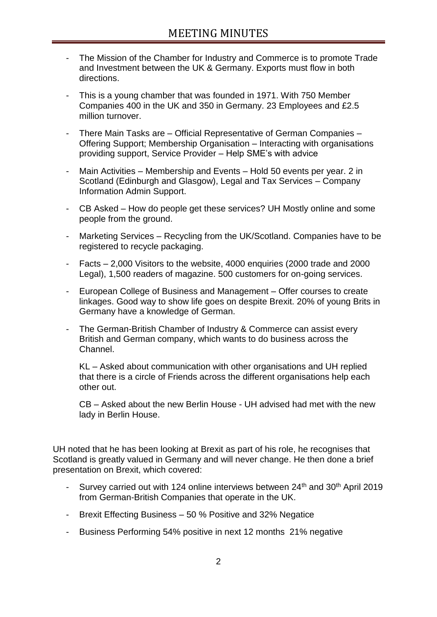- The Mission of the Chamber for Industry and Commerce is to promote Trade and Investment between the UK & Germany. Exports must flow in both directions.
- This is a young chamber that was founded in 1971. With 750 Member Companies 400 in the UK and 350 in Germany. 23 Employees and £2.5 million turnover.
- There Main Tasks are Official Representative of German Companies Offering Support; Membership Organisation – Interacting with organisations providing support, Service Provider – Help SME's with advice
- Main Activities Membership and Events Hold 50 events per year. 2 in Scotland (Edinburgh and Glasgow), Legal and Tax Services – Company Information Admin Support.
- CB Asked How do people get these services? UH Mostly online and some people from the ground.
- Marketing Services Recycling from the UK/Scotland. Companies have to be registered to recycle packaging.
- Facts 2,000 Visitors to the website, 4000 enquiries (2000 trade and 2000 Legal), 1,500 readers of magazine. 500 customers for on-going services.
- European College of Business and Management Offer courses to create linkages. Good way to show life goes on despite Brexit. 20% of young Brits in Germany have a knowledge of German.
- The German-British Chamber of Industry & Commerce can assist every British and German company, which wants to do business across the Channel.

KL – Asked about communication with other organisations and UH replied that there is a circle of Friends across the different organisations help each other out.

CB – Asked about the new Berlin House - UH advised had met with the new lady in Berlin House.

UH noted that he has been looking at Brexit as part of his role, he recognises that Scotland is greatly valued in Germany and will never change. He then done a brief presentation on Brexit, which covered:

- Survey carried out with 124 online interviews between  $24<sup>th</sup>$  and  $30<sup>th</sup>$  April 2019 from German-British Companies that operate in the UK.
- Brexit Effecting Business 50 % Positive and 32% Negatice
- Business Performing 54% positive in next 12 months 21% negative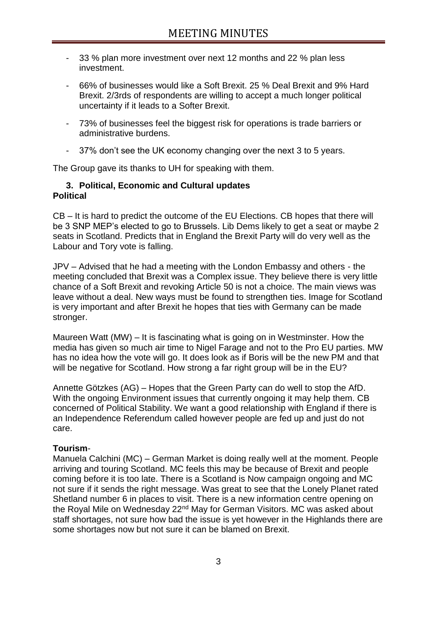- 33 % plan more investment over next 12 months and 22 % plan less investment.
- 66% of businesses would like a Soft Brexit. 25 % Deal Brexit and 9% Hard Brexit. 2/3rds of respondents are willing to accept a much longer political uncertainty if it leads to a Softer Brexit.
- 73% of businesses feel the biggest risk for operations is trade barriers or administrative burdens.
- 37% don't see the UK economy changing over the next 3 to 5 years.

The Group gave its thanks to UH for speaking with them.

#### **3. Political, Economic and Cultural updates Political**

CB – It is hard to predict the outcome of the EU Elections. CB hopes that there will be 3 SNP MEP's elected to go to Brussels. Lib Dems likely to get a seat or maybe 2 seats in Scotland. Predicts that in England the Brexit Party will do very well as the Labour and Tory vote is falling.

JPV – Advised that he had a meeting with the London Embassy and others - the meeting concluded that Brexit was a Complex issue. They believe there is very little chance of a Soft Brexit and revoking Article 50 is not a choice. The main views was leave without a deal. New ways must be found to strengthen ties. Image for Scotland is very important and after Brexit he hopes that ties with Germany can be made stronger.

Maureen Watt (MW) – It is fascinating what is going on in Westminster. How the media has given so much air time to Nigel Farage and not to the Pro EU parties. MW has no idea how the vote will go. It does look as if Boris will be the new PM and that will be negative for Scotland. How strong a far right group will be in the EU?

Annette Götzkes (AG) – Hopes that the Green Party can do well to stop the AfD. With the ongoing Environment issues that currently ongoing it may help them. CB concerned of Political Stability. We want a good relationship with England if there is an Independence Referendum called however people are fed up and just do not care.

### **Tourism**-

Manuela Calchini (MC) – German Market is doing really well at the moment. People arriving and touring Scotland. MC feels this may be because of Brexit and people coming before it is too late. There is a Scotland is Now campaign ongoing and MC not sure if it sends the right message. Was great to see that the Lonely Planet rated Shetland number 6 in places to visit. There is a new information centre opening on the Royal Mile on Wednesday 22<sup>nd</sup> May for German Visitors. MC was asked about staff shortages, not sure how bad the issue is yet however in the Highlands there are some shortages now but not sure it can be blamed on Brexit.